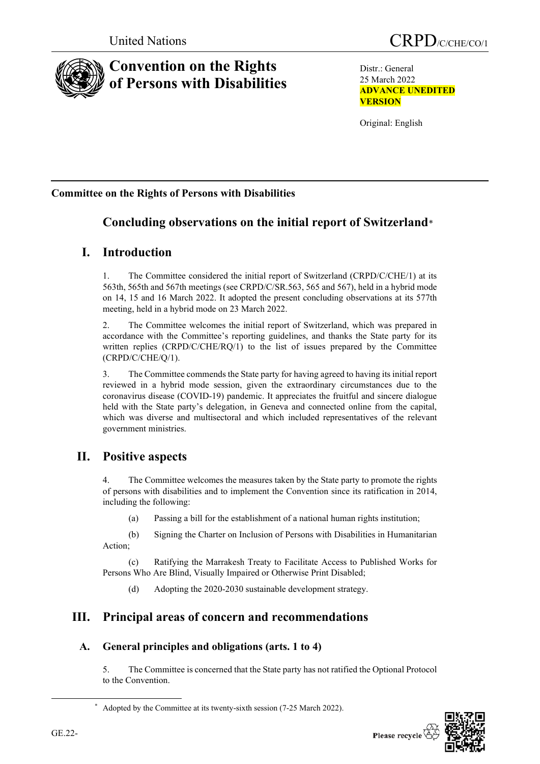

# **Convention on the Rights of Persons with Disabilities**

Distr.: General 25 March 2022 **ADVANCE UNEDITED VERSION**

Original: English

## **Committee on the Rights of Persons with Disabilities**

# **Concluding observations on the initial report of Switzerland**[\\*](#page-0-0)

## **I. Introduction**

1. The Committee considered the initial report of Switzerland (CRPD/C/CHE/1) at its 563th, 565th and 567th meetings (see CRPD/C/SR.563, 565 and 567), held in a hybrid mode on 14, 15 and 16 March 2022. It adopted the present concluding observations at its 577th meeting, held in a hybrid mode on 23 March 2022.

2. The Committee welcomes the initial report of Switzerland, which was prepared in accordance with the Committee's reporting guidelines, and thanks the State party for its written replies (CRPD/C/CHE/RQ/1) to the list of issues prepared by the Committee (CRPD/C/CHE/Q/1).

3. The Committee commends the State party for having agreed to having its initial report reviewed in a hybrid mode session, given the extraordinary circumstances due to the coronavirus disease (COVID-19) pandemic. It appreciates the fruitful and sincere dialogue held with the State party's delegation, in Geneva and connected online from the capital, which was diverse and multisectoral and which included representatives of the relevant government ministries.

## **II. Positive aspects**

4. The Committee welcomes the measures taken by the State party to promote the rights of persons with disabilities and to implement the Convention since its ratification in 2014, including the following:

(a) Passing a bill for the establishment of a national human rights institution;

(b) Signing the Charter on Inclusion of Persons with Disabilities in Humanitarian Action;

(c) Ratifying the Marrakesh Treaty to Facilitate Access to Published Works for Persons Who Are Blind, Visually Impaired or Otherwise Print Disabled;

(d) Adopting the 2020-2030 sustainable development strategy.

# **III. Principal areas of concern and recommendations**

## **A. General principles and obligations (arts. 1 to 4)**

5. The Committee is concerned that the State party has not ratified the Optional Protocol to the Convention.



<span id="page-0-0"></span><sup>\*</sup> Adopted by the Committee at its twenty-sixth session (7-25 March 2022).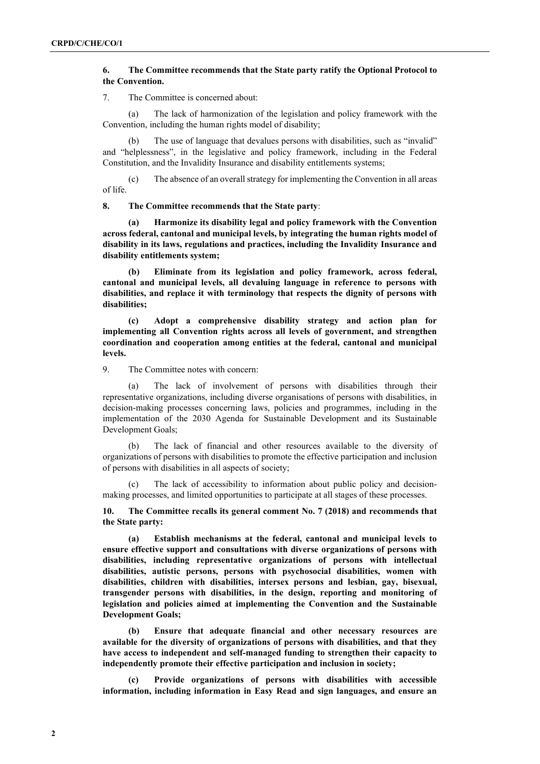### **6. The Committee recommends that the State party ratify the Optional Protocol to the Convention.**

7. The Committee is concerned about:

(a) The lack of harmonization of the legislation and policy framework with the Convention, including the human rights model of disability;

The use of language that devalues persons with disabilities, such as "invalid" and "helplessness", in the legislative and policy framework, including in the Federal Constitution, and the Invalidity Insurance and disability entitlements systems;

(c) The absence of an overall strategy for implementing the Convention in all areas of life.

**8. The Committee recommends that the State party**:

**(a) Harmonize its disability legal and policy framework with the Convention across federal, cantonal and municipal levels, by integrating the human rights model of disability in its laws, regulations and practices, including the Invalidity Insurance and disability entitlements system;**

**(b) Eliminate from its legislation and policy framework, across federal, cantonal and municipal levels, all devaluing language in reference to persons with disabilities, and replace it with terminology that respects the dignity of persons with disabilities;**

**(c) Adopt a comprehensive disability strategy and action plan for implementing all Convention rights across all levels of government, and strengthen coordination and cooperation among entities at the federal, cantonal and municipal levels.**

9. The Committee notes with concern:

(a) The lack of involvement of persons with disabilities through their representative organizations, including diverse organisations of persons with disabilities, in decision-making processes concerning laws, policies and programmes, including in the implementation of the 2030 Agenda for Sustainable Development and its Sustainable Development Goals;

The lack of financial and other resources available to the diversity of organizations of persons with disabilities to promote the effective participation and inclusion of persons with disabilities in all aspects of society;

(c) The lack of accessibility to information about public policy and decisionmaking processes, and limited opportunities to participate at all stages of these processes.

**10. The Committee recalls its general comment No. 7 (2018) and recommends that the State party:**

**(a) Establish mechanisms at the federal, cantonal and municipal levels to ensure effective support and consultations with diverse organizations of persons with disabilities, including representative organizations of persons with intellectual disabilities, autistic persons, persons with psychosocial disabilities, women with disabilities, children with disabilities, intersex persons and lesbian, gay, bisexual, transgender persons with disabilities, in the design, reporting and monitoring of legislation and policies aimed at implementing the Convention and the Sustainable Development Goals;** 

**(b) Ensure that adequate financial and other necessary resources are available for the diversity of organizations of persons with disabilities, and that they have access to independent and self-managed funding to strengthen their capacity to independently promote their effective participation and inclusion in society;**

**(c) Provide organizations of persons with disabilities with accessible information, including information in Easy Read and sign languages, and ensure an**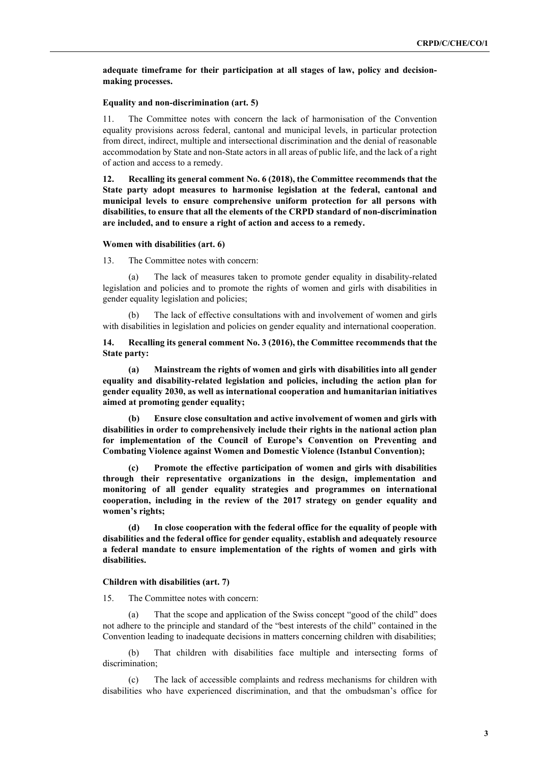**adequate timeframe for their participation at all stages of law, policy and decisionmaking processes.**

#### **Equality and non-discrimination (art. 5)**

11. The Committee notes with concern the lack of harmonisation of the Convention equality provisions across federal, cantonal and municipal levels, in particular protection from direct, indirect, multiple and intersectional discrimination and the denial of reasonable accommodation by State and non-State actors in all areas of public life, and the lack of a right of action and access to a remedy.

**12. Recalling its general comment No. 6 (2018), the Committee recommends that the State party adopt measures to harmonise legislation at the federal, cantonal and municipal levels to ensure comprehensive uniform protection for all persons with disabilities, to ensure that all the elements of the CRPD standard of non-discrimination are included, and to ensure a right of action and access to a remedy.**

#### **Women with disabilities (art. 6)**

13. The Committee notes with concern:

The lack of measures taken to promote gender equality in disability-related legislation and policies and to promote the rights of women and girls with disabilities in gender equality legislation and policies;

(b) The lack of effective consultations with and involvement of women and girls with disabilities in legislation and policies on gender equality and international cooperation.

**14. Recalling its general comment No. 3 (2016), the Committee recommends that the State party:** 

**(a) Mainstream the rights of women and girls with disabilities into all gender equality and disability-related legislation and policies, including the action plan for gender equality 2030, as well as international cooperation and humanitarian initiatives aimed at promoting gender equality;**

**(b) Ensure close consultation and active involvement of women and girls with disabilities in order to comprehensively include their rights in the national action plan for implementation of the Council of Europe's Convention on Preventing and Combating Violence against Women and Domestic Violence (Istanbul Convention);**

**(c) Promote the effective participation of women and girls with disabilities through their representative organizations in the design, implementation and monitoring of all gender equality strategies and programmes on international cooperation, including in the review of the 2017 strategy on gender equality and women's rights;** 

**(d) In close cooperation with the federal office for the equality of people with disabilities and the federal office for gender equality, establish and adequately resource a federal mandate to ensure implementation of the rights of women and girls with disabilities.**

#### **Children with disabilities (art. 7)**

15. The Committee notes with concern:

(a) That the scope and application of the Swiss concept "good of the child" does not adhere to the principle and standard of the "best interests of the child" contained in the Convention leading to inadequate decisions in matters concerning children with disabilities;

(b) That children with disabilities face multiple and intersecting forms of discrimination;

(c) The lack of accessible complaints and redress mechanisms for children with disabilities who have experienced discrimination, and that the ombudsman's office for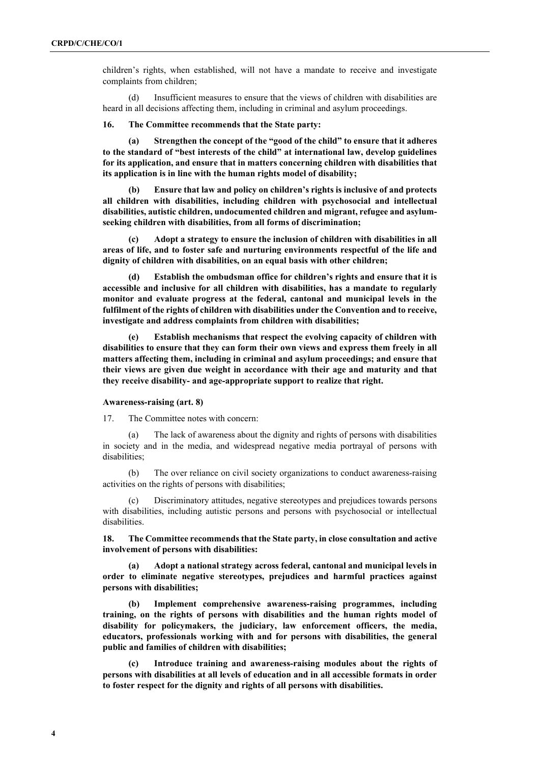children's rights, when established, will not have a mandate to receive and investigate complaints from children;

(d) Insufficient measures to ensure that the views of children with disabilities are heard in all decisions affecting them, including in criminal and asylum proceedings.

**16. The Committee recommends that the State party:**

**(a) Strengthen the concept of the "good of the child" to ensure that it adheres to the standard of "best interests of the child" at international law, develop guidelines for its application, and ensure that in matters concerning children with disabilities that its application is in line with the human rights model of disability;**

**(b) Ensure that law and policy on children's rights is inclusive of and protects all children with disabilities, including children with psychosocial and intellectual disabilities, autistic children, undocumented children and migrant, refugee and asylumseeking children with disabilities, from all forms of discrimination;** 

**(c) Adopt a strategy to ensure the inclusion of children with disabilities in all areas of life, and to foster safe and nurturing environments respectful of the life and dignity of children with disabilities, on an equal basis with other children;**

**(d) Establish the ombudsman office for children's rights and ensure that it is accessible and inclusive for all children with disabilities, has a mandate to regularly monitor and evaluate progress at the federal, cantonal and municipal levels in the fulfilment of the rights of children with disabilities under the Convention and to receive, investigate and address complaints from children with disabilities;**

**(e) Establish mechanisms that respect the evolving capacity of children with disabilities to ensure that they can form their own views and express them freely in all matters affecting them, including in criminal and asylum proceedings; and ensure that their views are given due weight in accordance with their age and maturity and that they receive disability- and age-appropriate support to realize that right.**

#### **Awareness-raising (art. 8)**

17. The Committee notes with concern:

(a) The lack of awareness about the dignity and rights of persons with disabilities in society and in the media, and widespread negative media portrayal of persons with disabilities;

(b) The over reliance on civil society organizations to conduct awareness-raising activities on the rights of persons with disabilities;

(c) Discriminatory attitudes, negative stereotypes and prejudices towards persons with disabilities, including autistic persons and persons with psychosocial or intellectual disabilities.

**18. The Committee recommends that the State party, in close consultation and active involvement of persons with disabilities:**

**(a) Adopt a national strategy across federal, cantonal and municipal levels in order to eliminate negative stereotypes, prejudices and harmful practices against persons with disabilities;** 

**(b) Implement comprehensive awareness-raising programmes, including training, on the rights of persons with disabilities and the human rights model of disability for policymakers, the judiciary, law enforcement officers, the media, educators, professionals working with and for persons with disabilities, the general public and families of children with disabilities;** 

**(c) Introduce training and awareness-raising modules about the rights of persons with disabilities at all levels of education and in all accessible formats in order to foster respect for the dignity and rights of all persons with disabilities.**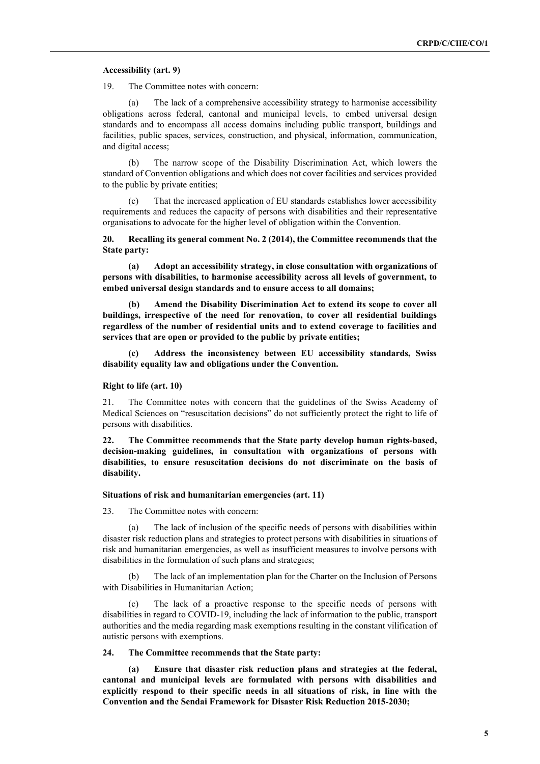#### **Accessibility (art. 9)**

19. The Committee notes with concern:

(a) The lack of a comprehensive accessibility strategy to harmonise accessibility obligations across federal, cantonal and municipal levels, to embed universal design standards and to encompass all access domains including public transport, buildings and facilities, public spaces, services, construction, and physical, information, communication, and digital access;

(b) The narrow scope of the Disability Discrimination Act, which lowers the standard of Convention obligations and which does not cover facilities and services provided to the public by private entities;

(c) That the increased application of EU standards establishes lower accessibility requirements and reduces the capacity of persons with disabilities and their representative organisations to advocate for the higher level of obligation within the Convention.

**20. Recalling its general comment No. 2 (2014), the Committee recommends that the State party:**

**(a) Adopt an accessibility strategy, in close consultation with organizations of persons with disabilities, to harmonise accessibility across all levels of government, to embed universal design standards and to ensure access to all domains;** 

**(b) Amend the Disability Discrimination Act to extend its scope to cover all buildings, irrespective of the need for renovation, to cover all residential buildings regardless of the number of residential units and to extend coverage to facilities and services that are open or provided to the public by private entities;** 

**(c) Address the inconsistency between EU accessibility standards, Swiss disability equality law and obligations under the Convention.** 

#### **Right to life (art. 10)**

21. The Committee notes with concern that the guidelines of the Swiss Academy of Medical Sciences on "resuscitation decisions" do not sufficiently protect the right to life of persons with disabilities.

**22. The Committee recommends that the State party develop human rights-based, decision-making guidelines, in consultation with organizations of persons with disabilities, to ensure resuscitation decisions do not discriminate on the basis of disability.**

#### **Situations of risk and humanitarian emergencies (art. 11)**

23. The Committee notes with concern:

(a) The lack of inclusion of the specific needs of persons with disabilities within disaster risk reduction plans and strategies to protect persons with disabilities in situations of risk and humanitarian emergencies, as well as insufficient measures to involve persons with disabilities in the formulation of such plans and strategies;

(b) The lack of an implementation plan for the Charter on the Inclusion of Persons with Disabilities in Humanitarian Action;

(c) The lack of a proactive response to the specific needs of persons with disabilities in regard to COVID-19, including the lack of information to the public, transport authorities and the media regarding mask exemptions resulting in the constant vilification of autistic persons with exemptions.

#### **24. The Committee recommends that the State party:**

**(a) Ensure that disaster risk reduction plans and strategies at the federal, cantonal and municipal levels are formulated with persons with disabilities and explicitly respond to their specific needs in all situations of risk, in line with the Convention and the Sendai Framework for Disaster Risk Reduction 2015-2030;**

**5**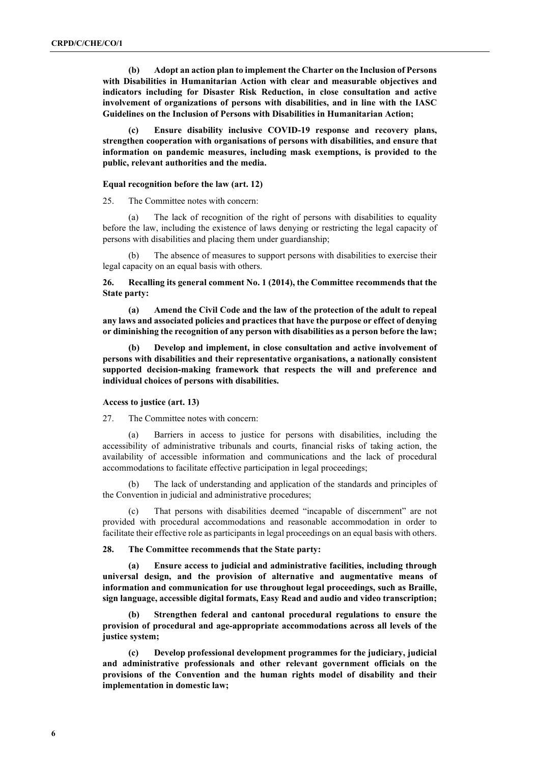**(b) Adopt an action plan to implement the Charter on the Inclusion of Persons with Disabilities in Humanitarian Action with clear and measurable objectives and indicators including for Disaster Risk Reduction, in close consultation and active involvement of organizations of persons with disabilities, and in line with the IASC Guidelines on the Inclusion of Persons with Disabilities in Humanitarian Action;**

**(c) Ensure disability inclusive COVID-19 response and recovery plans, strengthen cooperation with organisations of persons with disabilities, and ensure that information on pandemic measures, including mask exemptions, is provided to the public, relevant authorities and the media.** 

#### **Equal recognition before the law (art. 12)**

25. The Committee notes with concern:

(a) The lack of recognition of the right of persons with disabilities to equality before the law, including the existence of laws denying or restricting the legal capacity of persons with disabilities and placing them under guardianship;

(b) The absence of measures to support persons with disabilities to exercise their legal capacity on an equal basis with others.

**26. Recalling its general comment No. 1 (2014), the Committee recommends that the State party:**

**(a) Amend the Civil Code and the law of the protection of the adult to repeal any laws and associated policies and practices that have the purpose or effect of denying or diminishing the recognition of any person with disabilities as a person before the law;** 

**(b) Develop and implement, in close consultation and active involvement of persons with disabilities and their representative organisations, a nationally consistent supported decision-making framework that respects the will and preference and individual choices of persons with disabilities.**

#### **Access to justice (art. 13)**

27. The Committee notes with concern:

(a) Barriers in access to justice for persons with disabilities, including the accessibility of administrative tribunals and courts, financial risks of taking action, the availability of accessible information and communications and the lack of procedural accommodations to facilitate effective participation in legal proceedings;

(b) The lack of understanding and application of the standards and principles of the Convention in judicial and administrative procedures;

(c) That persons with disabilities deemed "incapable of discernment" are not provided with procedural accommodations and reasonable accommodation in order to facilitate their effective role as participants in legal proceedings on an equal basis with others.

#### **28. The Committee recommends that the State party:**

**(a) Ensure access to judicial and administrative facilities, including through universal design, and the provision of alternative and augmentative means of information and communication for use throughout legal proceedings, such as Braille, sign language, accessible digital formats, Easy Read and audio and video transcription;**

**(b) Strengthen federal and cantonal procedural regulations to ensure the provision of procedural and age-appropriate accommodations across all levels of the justice system;**

**(c) Develop professional development programmes for the judiciary, judicial and administrative professionals and other relevant government officials on the provisions of the Convention and the human rights model of disability and their implementation in domestic law;**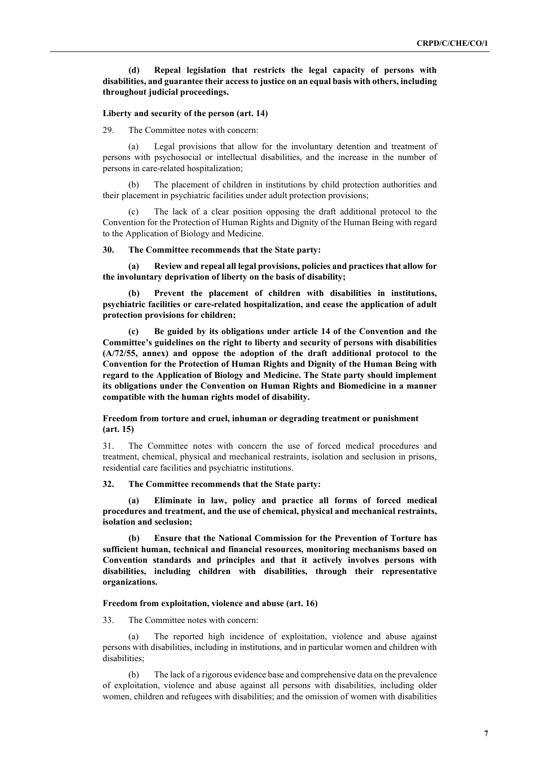## **(d) Repeal legislation that restricts the legal capacity of persons with disabilities, and guarantee their access to justice on an equal basis with others, including throughout judicial proceedings.**

#### **Liberty and security of the person (art. 14)**

29. The Committee notes with concern:

(a) Legal provisions that allow for the involuntary detention and treatment of persons with psychosocial or intellectual disabilities, and the increase in the number of persons in care-related hospitalization;

(b) The placement of children in institutions by child protection authorities and their placement in psychiatric facilities under adult protection provisions;

The lack of a clear position opposing the draft additional protocol to the Convention for the Protection of Human Rights and Dignity of the Human Being with regard to the Application of Biology and Medicine.

#### **30. The Committee recommends that the State party:**

**(a) Review and repeal all legal provisions, policies and practices that allow for the involuntary deprivation of liberty on the basis of disability;** 

**(b) Prevent the placement of children with disabilities in institutions, psychiatric facilities or care-related hospitalization, and cease the application of adult protection provisions for children;** 

**(c) Be guided by its obligations under article 14 of the Convention and the Committee's guidelines on the right to liberty and security of persons with disabilities (A/72/55, annex) and oppose the adoption of the draft additional protocol to the Convention for the Protection of Human Rights and Dignity of the Human Being with regard to the Application of Biology and Medicine. The State party should implement its obligations under the Convention on Human Rights and Biomedicine in a manner compatible with the human rights model of disability.**

**Freedom from torture and cruel, inhuman or degrading treatment or punishment (art. 15)**

31. The Committee notes with concern the use of forced medical procedures and treatment, chemical, physical and mechanical restraints, isolation and seclusion in prisons, residential care facilities and psychiatric institutions.

**32. The Committee recommends that the State party:**

**(a) Eliminate in law, policy and practice all forms of forced medical procedures and treatment, and the use of chemical, physical and mechanical restraints, isolation and seclusion;**

**(b) Ensure that the National Commission for the Prevention of Torture has sufficient human, technical and financial resources, monitoring mechanisms based on Convention standards and principles and that it actively involves persons with disabilities, including children with disabilities, through their representative organizations.** 

#### **Freedom from exploitation, violence and abuse (art. 16)**

33. The Committee notes with concern:

(a) The reported high incidence of exploitation, violence and abuse against persons with disabilities, including in institutions, and in particular women and children with disabilities;

(b) The lack of a rigorous evidence base and comprehensive data on the prevalence of exploitation, violence and abuse against all persons with disabilities, including older women, children and refugees with disabilities; and the omission of women with disabilities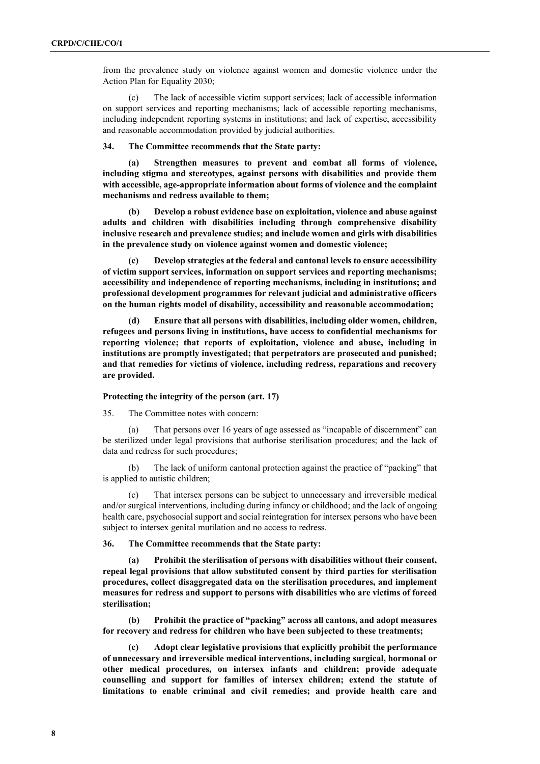from the prevalence study on violence against women and domestic violence under the Action Plan for Equality 2030;

(c) The lack of accessible victim support services; lack of accessible information on support services and reporting mechanisms; lack of accessible reporting mechanisms, including independent reporting systems in institutions; and lack of expertise, accessibility and reasonable accommodation provided by judicial authorities.

**34. The Committee recommends that the State party:**

**(a) Strengthen measures to prevent and combat all forms of violence, including stigma and stereotypes, against persons with disabilities and provide them with accessible, age-appropriate information about forms of violence and the complaint mechanisms and redress available to them;**

**(b) Develop a robust evidence base on exploitation, violence and abuse against adults and children with disabilities including through comprehensive disability inclusive research and prevalence studies; and include women and girls with disabilities in the prevalence study on violence against women and domestic violence;** 

**(c) Develop strategies at the federal and cantonal levels to ensure accessibility of victim support services, information on support services and reporting mechanisms; accessibility and independence of reporting mechanisms, including in institutions; and professional development programmes for relevant judicial and administrative officers on the human rights model of disability, accessibility and reasonable accommodation;**

**(d) Ensure that all persons with disabilities, including older women, children, refugees and persons living in institutions, have access to confidential mechanisms for reporting violence; that reports of exploitation, violence and abuse, including in institutions are promptly investigated; that perpetrators are prosecuted and punished; and that remedies for victims of violence, including redress, reparations and recovery are provided.**

#### **Protecting the integrity of the person (art. 17)**

35. The Committee notes with concern:

(a) That persons over 16 years of age assessed as "incapable of discernment" can be sterilized under legal provisions that authorise sterilisation procedures; and the lack of data and redress for such procedures;

The lack of uniform cantonal protection against the practice of "packing" that is applied to autistic children;

(c) That intersex persons can be subject to unnecessary and irreversible medical and/or surgical interventions, including during infancy or childhood; and the lack of ongoing health care, psychosocial support and social reintegration for intersex persons who have been subject to intersex genital mutilation and no access to redress.

**36. The Committee recommends that the State party:**

**(a) Prohibit the sterilisation of persons with disabilities without their consent, repeal legal provisions that allow substituted consent by third parties for sterilisation procedures, collect disaggregated data on the sterilisation procedures, and implement measures for redress and support to persons with disabilities who are victims of forced sterilisation;** 

**(b) Prohibit the practice of "packing" across all cantons, and adopt measures for recovery and redress for children who have been subjected to these treatments;**

**(c) Adopt clear legislative provisions that explicitly prohibit the performance of unnecessary and irreversible medical interventions, including surgical, hormonal or other medical procedures, on intersex infants and children; provide adequate counselling and support for families of intersex children; extend the statute of limitations to enable criminal and civil remedies; and provide health care and**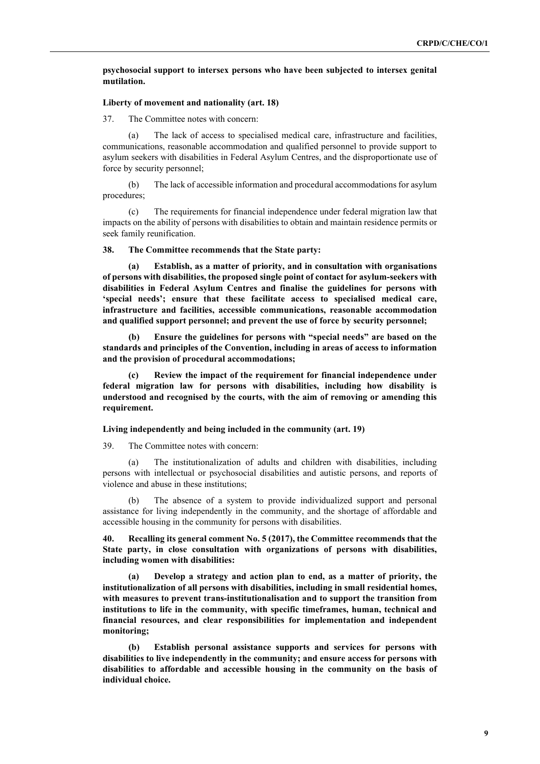### **psychosocial support to intersex persons who have been subjected to intersex genital mutilation.**

#### **Liberty of movement and nationality (art. 18)**

37. The Committee notes with concern:

(a) The lack of access to specialised medical care, infrastructure and facilities, communications, reasonable accommodation and qualified personnel to provide support to asylum seekers with disabilities in Federal Asylum Centres, and the disproportionate use of force by security personnel;

(b) The lack of accessible information and procedural accommodations for asylum procedures;

(c) The requirements for financial independence under federal migration law that impacts on the ability of persons with disabilities to obtain and maintain residence permits or seek family reunification.

**38. The Committee recommends that the State party:**

**(a) Establish, as a matter of priority, and in consultation with organisations of persons with disabilities, the proposed single point of contact for asylum-seekers with disabilities in Federal Asylum Centres and finalise the guidelines for persons with 'special needs'; ensure that these facilitate access to specialised medical care, infrastructure and facilities, accessible communications, reasonable accommodation and qualified support personnel; and prevent the use of force by security personnel;**

**(b) Ensure the guidelines for persons with "special needs" are based on the standards and principles of the Convention, including in areas of access to information and the provision of procedural accommodations;** 

**(c) Review the impact of the requirement for financial independence under federal migration law for persons with disabilities, including how disability is understood and recognised by the courts, with the aim of removing or amending this requirement.**

**Living independently and being included in the community (art. 19)**

39. The Committee notes with concern:

(a) The institutionalization of adults and children with disabilities, including persons with intellectual or psychosocial disabilities and autistic persons, and reports of violence and abuse in these institutions;

(b) The absence of a system to provide individualized support and personal assistance for living independently in the community, and the shortage of affordable and accessible housing in the community for persons with disabilities.

**40. Recalling its general comment No. 5 (2017), the Committee recommends that the State party, in close consultation with organizations of persons with disabilities, including women with disabilities:**

**(a) Develop a strategy and action plan to end, as a matter of priority, the institutionalization of all persons with disabilities, including in small residential homes, with measures to prevent trans-institutionalisation and to support the transition from institutions to life in the community, with specific timeframes, human, technical and financial resources, and clear responsibilities for implementation and independent monitoring;**

**(b) Establish personal assistance supports and services for persons with disabilities to live independently in the community; and ensure access for persons with disabilities to affordable and accessible housing in the community on the basis of individual choice.**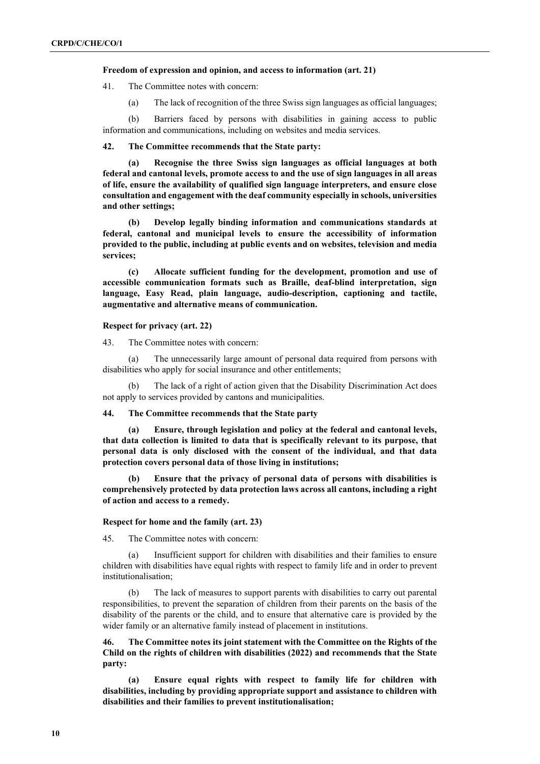#### **Freedom of expression and opinion, and access to information (art. 21)**

41. The Committee notes with concern:

(a) The lack of recognition of the three Swiss sign languages as official languages;

(b) Barriers faced by persons with disabilities in gaining access to public information and communications, including on websites and media services.

#### **42. The Committee recommends that the State party:**

**(a) Recognise the three Swiss sign languages as official languages at both federal and cantonal levels, promote access to and the use of sign languages in all areas of life, ensure the availability of qualified sign language interpreters, and ensure close consultation and engagement with the deaf community especially in schools, universities and other settings;**

**(b) Develop legally binding information and communications standards at federal, cantonal and municipal levels to ensure the accessibility of information provided to the public, including at public events and on websites, television and media services;**

**(c) Allocate sufficient funding for the development, promotion and use of accessible communication formats such as Braille, deaf-blind interpretation, sign language, Easy Read, plain language, audio-description, captioning and tactile, augmentative and alternative means of communication.**

#### **Respect for privacy (art. 22)**

43. The Committee notes with concern:

(a) The unnecessarily large amount of personal data required from persons with disabilities who apply for social insurance and other entitlements;

(b) The lack of a right of action given that the Disability Discrimination Act does not apply to services provided by cantons and municipalities.

## **44. The Committee recommends that the State party**

**(a) Ensure, through legislation and policy at the federal and cantonal levels, that data collection is limited to data that is specifically relevant to its purpose, that personal data is only disclosed with the consent of the individual, and that data protection covers personal data of those living in institutions;**

**(b) Ensure that the privacy of personal data of persons with disabilities is comprehensively protected by data protection laws across all cantons, including a right of action and access to a remedy.**

#### **Respect for home and the family (art. 23)**

45. The Committee notes with concern:

(a) Insufficient support for children with disabilities and their families to ensure children with disabilities have equal rights with respect to family life and in order to prevent institutionalisation;

(b) The lack of measures to support parents with disabilities to carry out parental responsibilities, to prevent the separation of children from their parents on the basis of the disability of the parents or the child, and to ensure that alternative care is provided by the wider family or an alternative family instead of placement in institutions.

**46. The Committee notes its joint statement with the Committee on the Rights of the Child on the rights of children with disabilities (2022) and recommends that the State party:**

**(a) Ensure equal rights with respect to family life for children with disabilities, including by providing appropriate support and assistance to children with disabilities and their families to prevent institutionalisation;**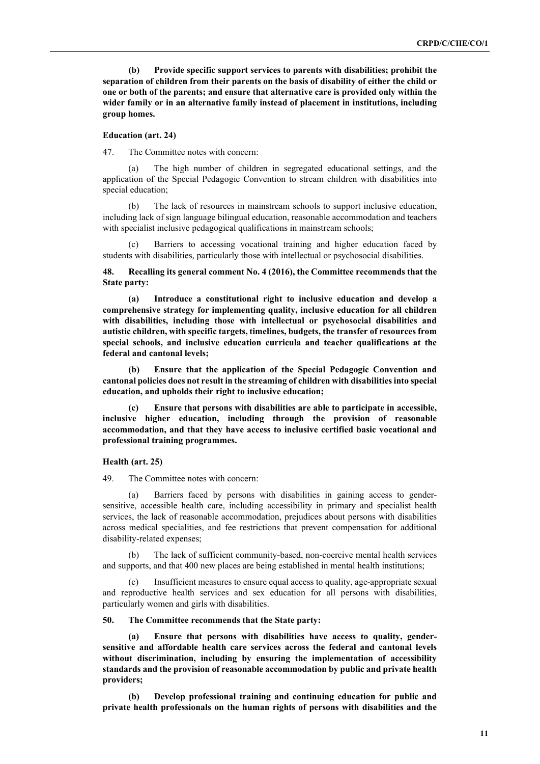**(b) Provide specific support services to parents with disabilities; prohibit the separation of children from their parents on the basis of disability of either the child or one or both of the parents; and ensure that alternative care is provided only within the wider family or in an alternative family instead of placement in institutions, including group homes.** 

### **Education (art. 24)**

47. The Committee notes with concern:

(a) The high number of children in segregated educational settings, and the application of the Special Pedagogic Convention to stream children with disabilities into special education;

(b) The lack of resources in mainstream schools to support inclusive education, including lack of sign language bilingual education, reasonable accommodation and teachers with specialist inclusive pedagogical qualifications in mainstream schools;

(c) Barriers to accessing vocational training and higher education faced by students with disabilities, particularly those with intellectual or psychosocial disabilities.

### **48. Recalling its general comment No. 4 (2016), the Committee recommends that the State party:**

**(a) Introduce a constitutional right to inclusive education and develop a comprehensive strategy for implementing quality, inclusive education for all children with disabilities, including those with intellectual or psychosocial disabilities and autistic children, with specific targets, timelines, budgets, the transfer of resources from special schools, and inclusive education curricula and teacher qualifications at the federal and cantonal levels;**

**(b) Ensure that the application of the Special Pedagogic Convention and cantonal policies does not result in the streaming of children with disabilities into special education, and upholds their right to inclusive education;**

**(c) Ensure that persons with disabilities are able to participate in accessible, inclusive higher education, including through the provision of reasonable accommodation, and that they have access to inclusive certified basic vocational and professional training programmes.**

## **Health (art. 25)**

49. The Committee notes with concern:

(a) Barriers faced by persons with disabilities in gaining access to gendersensitive, accessible health care, including accessibility in primary and specialist health services, the lack of reasonable accommodation, prejudices about persons with disabilities across medical specialities, and fee restrictions that prevent compensation for additional disability-related expenses;

(b) The lack of sufficient community-based, non-coercive mental health services and supports, and that 400 new places are being established in mental health institutions;

(c) Insufficient measures to ensure equal access to quality, age-appropriate sexual and reproductive health services and sex education for all persons with disabilities, particularly women and girls with disabilities.

### **50. The Committee recommends that the State party:**

**(a) Ensure that persons with disabilities have access to quality, gendersensitive and affordable health care services across the federal and cantonal levels without discrimination, including by ensuring the implementation of accessibility standards and the provision of reasonable accommodation by public and private health providers;**

**(b) Develop professional training and continuing education for public and private health professionals on the human rights of persons with disabilities and the**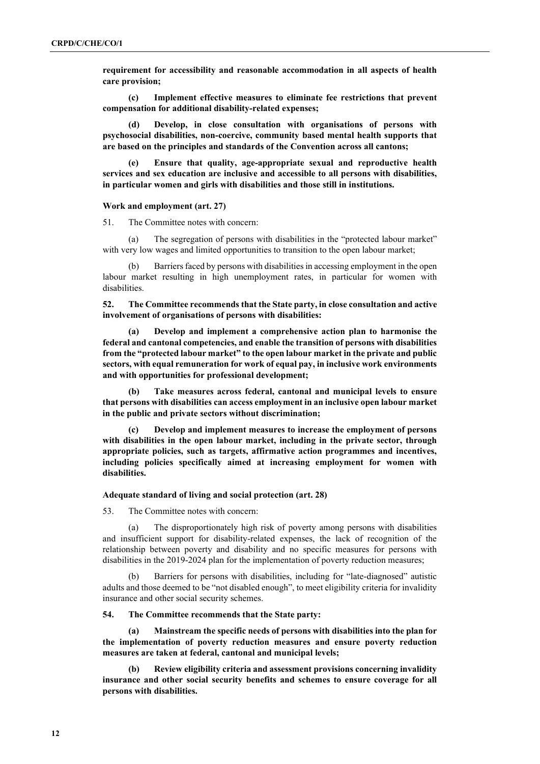**requirement for accessibility and reasonable accommodation in all aspects of health care provision;** 

**(c) Implement effective measures to eliminate fee restrictions that prevent compensation for additional disability-related expenses;**

**(d) Develop, in close consultation with organisations of persons with psychosocial disabilities, non-coercive, community based mental health supports that are based on the principles and standards of the Convention across all cantons;** 

**(e) Ensure that quality, age-appropriate sexual and reproductive health services and sex education are inclusive and accessible to all persons with disabilities, in particular women and girls with disabilities and those still in institutions.**

#### **Work and employment (art. 27)**

51. The Committee notes with concern:

The segregation of persons with disabilities in the "protected labour market" with very low wages and limited opportunities to transition to the open labour market;

(b) Barriers faced by persons with disabilities in accessing employment in the open labour market resulting in high unemployment rates, in particular for women with disabilities.

**52. The Committee recommends that the State party, in close consultation and active involvement of organisations of persons with disabilities:**

**(a) Develop and implement a comprehensive action plan to harmonise the federal and cantonal competencies, and enable the transition of persons with disabilities from the "protected labour market" to the open labour market in the private and public sectors, with equal remuneration for work of equal pay, in inclusive work environments and with opportunities for professional development;**

**(b) Take measures across federal, cantonal and municipal levels to ensure that persons with disabilities can access employment in an inclusive open labour market in the public and private sectors without discrimination;** 

**(c) Develop and implement measures to increase the employment of persons with disabilities in the open labour market, including in the private sector, through appropriate policies, such as targets, affirmative action programmes and incentives, including policies specifically aimed at increasing employment for women with disabilities.**

#### **Adequate standard of living and social protection (art. 28)**

53. The Committee notes with concern:

(a) The disproportionately high risk of poverty among persons with disabilities and insufficient support for disability-related expenses, the lack of recognition of the relationship between poverty and disability and no specific measures for persons with disabilities in the 2019-2024 plan for the implementation of poverty reduction measures;

(b) Barriers for persons with disabilities, including for "late-diagnosed" autistic adults and those deemed to be "not disabled enough", to meet eligibility criteria for invalidity insurance and other social security schemes.

## **54. The Committee recommends that the State party:**

**(a) Mainstream the specific needs of persons with disabilities into the plan for the implementation of poverty reduction measures and ensure poverty reduction measures are taken at federal, cantonal and municipal levels;**

**(b) Review eligibility criteria and assessment provisions concerning invalidity insurance and other social security benefits and schemes to ensure coverage for all persons with disabilities.**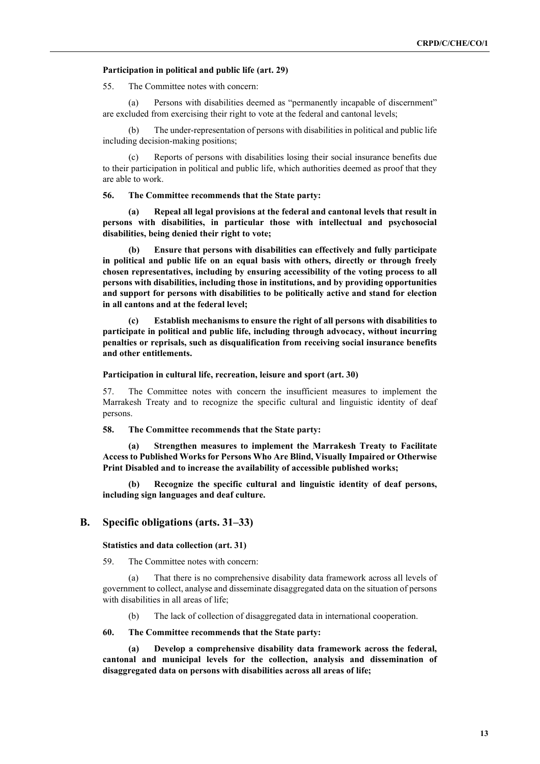#### **Participation in political and public life (art. 29)**

55. The Committee notes with concern:

(a) Persons with disabilities deemed as "permanently incapable of discernment" are excluded from exercising their right to vote at the federal and cantonal levels;

The under-representation of persons with disabilities in political and public life including decision-making positions;

(c) Reports of persons with disabilities losing their social insurance benefits due to their participation in political and public life, which authorities deemed as proof that they are able to work.

**56. The Committee recommends that the State party:**

**(a) Repeal all legal provisions at the federal and cantonal levels that result in persons with disabilities, in particular those with intellectual and psychosocial disabilities, being denied their right to vote;** 

**(b) Ensure that persons with disabilities can effectively and fully participate in political and public life on an equal basis with others, directly or through freely chosen representatives, including by ensuring accessibility of the voting process to all persons with disabilities, including those in institutions, and by providing opportunities and support for persons with disabilities to be politically active and stand for election in all cantons and at the federal level;**

**(c) Establish mechanisms to ensure the right of all persons with disabilities to participate in political and public life, including through advocacy, without incurring penalties or reprisals, such as disqualification from receiving social insurance benefits and other entitlements.**

#### **Participation in cultural life, recreation, leisure and sport (art. 30)**

57. The Committee notes with concern the insufficient measures to implement the Marrakesh Treaty and to recognize the specific cultural and linguistic identity of deaf persons.

**58. The Committee recommends that the State party:**

**(a) Strengthen measures to implement the Marrakesh Treaty to Facilitate Access to Published Works for Persons Who Are Blind, Visually Impaired or Otherwise Print Disabled and to increase the availability of accessible published works;**

**(b) Recognize the specific cultural and linguistic identity of deaf persons, including sign languages and deaf culture.**

## **B. Specific obligations (arts. 31–33)**

#### **Statistics and data collection (art. 31)**

59. The Committee notes with concern:

(a) That there is no comprehensive disability data framework across all levels of government to collect, analyse and disseminate disaggregated data on the situation of persons with disabilities in all areas of life;

(b) The lack of collection of disaggregated data in international cooperation.

## **60. The Committee recommends that the State party:**

**(a) Develop a comprehensive disability data framework across the federal, cantonal and municipal levels for the collection, analysis and dissemination of disaggregated data on persons with disabilities across all areas of life;**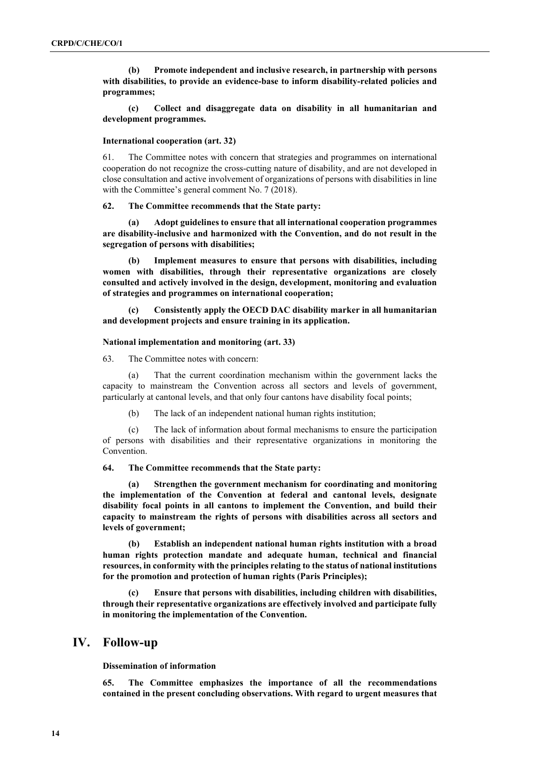**(b) Promote independent and inclusive research, in partnership with persons with disabilities, to provide an evidence-base to inform disability-related policies and programmes;**

**(c) Collect and disaggregate data on disability in all humanitarian and development programmes.** 

#### **International cooperation (art. 32)**

61. The Committee notes with concern that strategies and programmes on international cooperation do not recognize the cross-cutting nature of disability, and are not developed in close consultation and active involvement of organizations of persons with disabilities in line with the Committee's general comment No. 7 (2018).

#### **62. The Committee recommends that the State party:**

**(a) Adopt guidelines to ensure that all international cooperation programmes are disability-inclusive and harmonized with the Convention, and do not result in the segregation of persons with disabilities;** 

**(b) Implement measures to ensure that persons with disabilities, including women with disabilities, through their representative organizations are closely consulted and actively involved in the design, development, monitoring and evaluation of strategies and programmes on international cooperation;** 

**(c) Consistently apply the OECD DAC disability marker in all humanitarian and development projects and ensure training in its application.** 

## **National implementation and monitoring (art. 33)**

63. The Committee notes with concern:

(a) That the current coordination mechanism within the government lacks the capacity to mainstream the Convention across all sectors and levels of government, particularly at cantonal levels, and that only four cantons have disability focal points;

(b) The lack of an independent national human rights institution;

(c) The lack of information about formal mechanisms to ensure the participation of persons with disabilities and their representative organizations in monitoring the Convention.

#### **64. The Committee recommends that the State party:**

**(a) Strengthen the government mechanism for coordinating and monitoring the implementation of the Convention at federal and cantonal levels, designate disability focal points in all cantons to implement the Convention, and build their capacity to mainstream the rights of persons with disabilities across all sectors and levels of government;**

**(b) Establish an independent national human rights institution with a broad human rights protection mandate and adequate human, technical and financial resources, in conformity with the principles relating to the status of national institutions for the promotion and protection of human rights (Paris Principles);**

**(c) Ensure that persons with disabilities, including children with disabilities, through their representative organizations are effectively involved and participate fully in monitoring the implementation of the Convention.**

## **IV. Follow-up**

**Dissemination of information**

**65. The Committee emphasizes the importance of all the recommendations contained in the present concluding observations. With regard to urgent measures that**